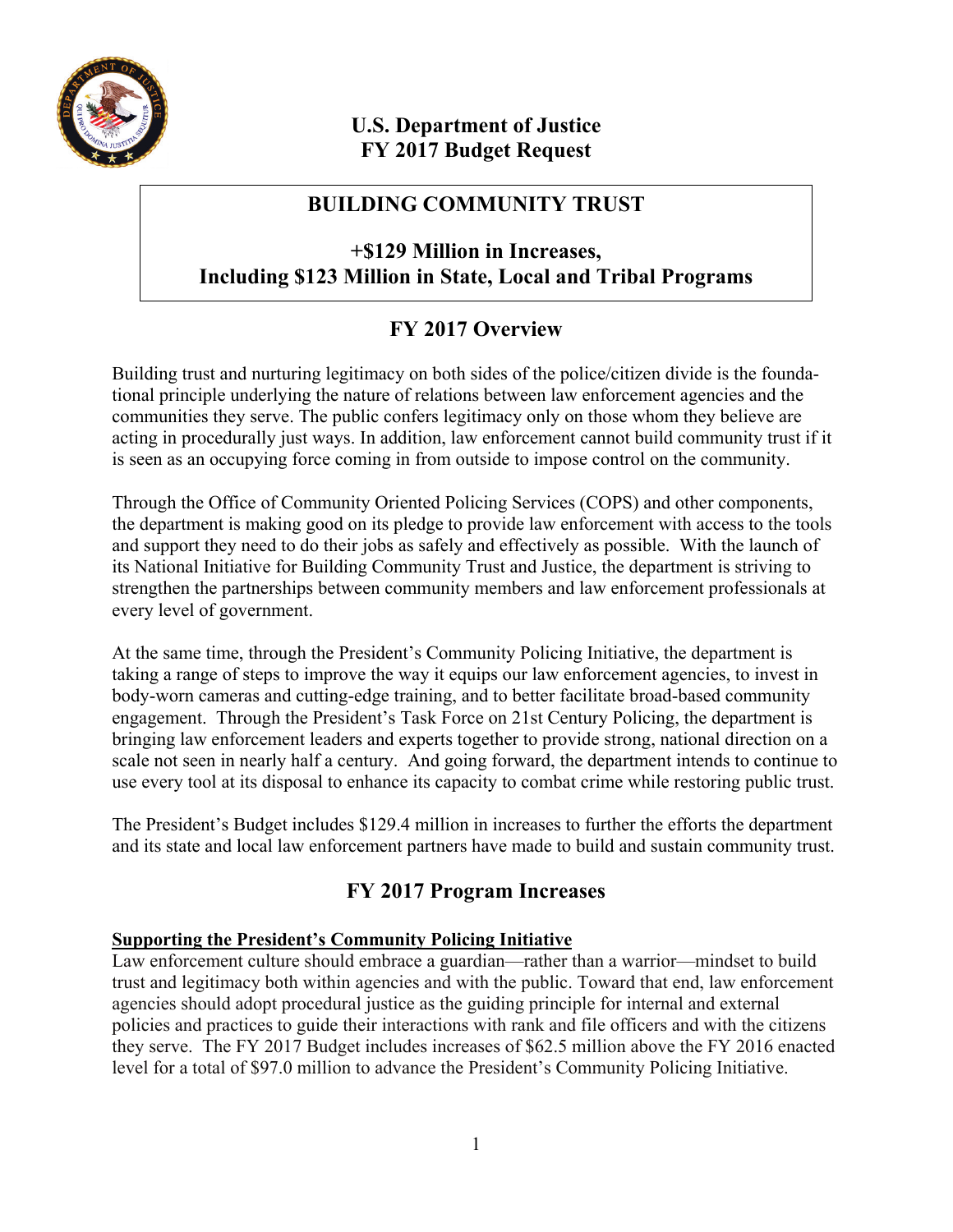

# **U.S. Department of Justice FY 2017 Budget Request**

# **BUILDING COMMUNITY TRUST**

## **+\$129 Million in Increases, Including \$123 Million in State, Local and Tribal Programs**

# **FY 2017 Overview**

Building trust and nurturing legitimacy on both sides of the police/citizen divide is the foundational principle underlying the nature of relations between law enforcement agencies and the communities they serve. The public confers legitimacy only on those whom they believe are acting in procedurally just ways. In addition, law enforcement cannot build community trust if it is seen as an occupying force coming in from outside to impose control on the community.

Through the Office of Community Oriented Policing Services (COPS) and other components, the department is making good on its pledge to provide law enforcement with access to the tools and support they need to do their jobs as safely and effectively as possible. With the launch of its National Initiative for Building Community Trust and Justice, the department is striving to strengthen the partnerships between community members and law enforcement professionals at every level of government.

At the same time, through the President's Community Policing Initiative, the department is taking a range of steps to improve the way it equips our law enforcement agencies, to invest in body-worn cameras and cutting-edge training, and to better facilitate broad-based community engagement. Through the President's Task Force on 21st Century Policing, the department is bringing law enforcement leaders and experts together to provide strong, national direction on a scale not seen in nearly half a century. And going forward, the department intends to continue to use every tool at its disposal to enhance its capacity to combat crime while restoring public trust.

The President's Budget includes \$129.4 million in increases to further the efforts the department and its state and local law enforcement partners have made to build and sustain community trust.

# **FY 2017 Program Increases**

## **Supporting the President's Community Policing Initiative**

Law enforcement culture should embrace a guardian—rather than a warrior—mindset to build trust and legitimacy both within agencies and with the public. Toward that end, law enforcement agencies should adopt procedural justice as the guiding principle for internal and external policies and practices to guide their interactions with rank and file officers and with the citizens they serve. The FY 2017 Budget includes increases of \$62.5 million above the FY 2016 enacted level for a total of \$97.0 million to advance the President's Community Policing Initiative.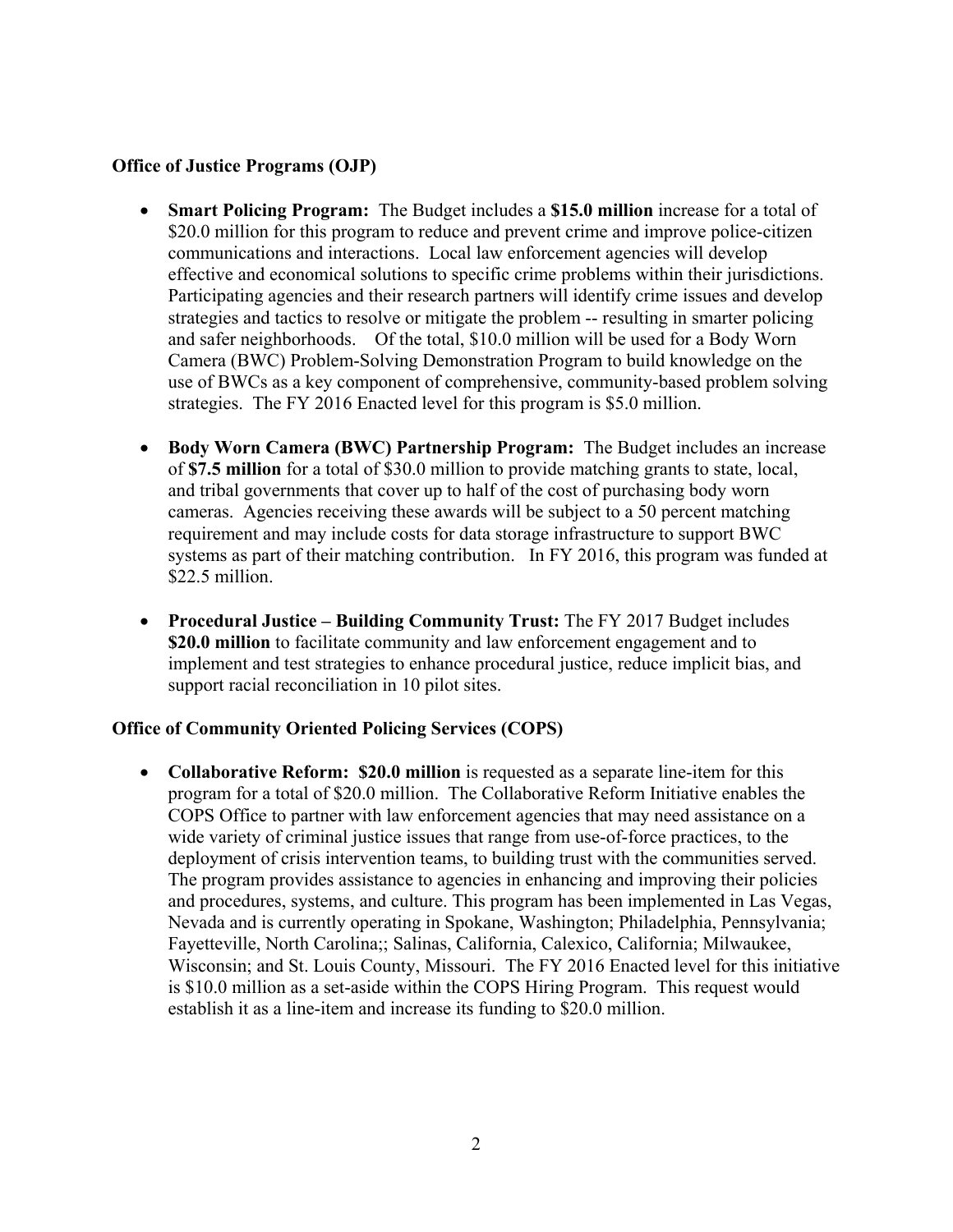#### **Office of Justice Programs (OJP)**

- **Smart Policing Program:** The Budget includes a **\$15.0 million** increase for a total of \$20.0 million for this program to reduce and prevent crime and improve police-citizen communications and interactions. Local law enforcement agencies will develop effective and economical solutions to specific crime problems within their jurisdictions. Participating agencies and their research partners will identify crime issues and develop strategies and tactics to resolve or mitigate the problem -- resulting in smarter policing and safer neighborhoods. Of the total, \$10.0 million will be used for a Body Worn Camera (BWC) Problem-Solving Demonstration Program to build knowledge on the use of BWCs as a key component of comprehensive, community-based problem solving strategies. The FY 2016 Enacted level for this program is \$5.0 million.
- **Body Worn Camera (BWC) Partnership Program:** The Budget includes an increase of **\$7.5 million** for a total of \$30.0 million to provide matching grants to state, local, and tribal governments that cover up to half of the cost of purchasing body worn cameras. Agencies receiving these awards will be subject to a 50 percent matching requirement and may include costs for data storage infrastructure to support BWC systems as part of their matching contribution. In FY 2016, this program was funded at \$22.5 million.
- **Procedural Justice – Building Community Trust:** The FY 2017 Budget includes **\$20.0 million** to facilitate community and law enforcement engagement and to implement and test strategies to enhance procedural justice, reduce implicit bias, and support racial reconciliation in 10 pilot sites.

#### **Office of Community Oriented Policing Services (COPS)**

• **Collaborative Reform: \$20.0 million** is requested as a separate line-item for this program for a total of \$20.0 million. The Collaborative Reform Initiative enables the COPS Office to partner with law enforcement agencies that may need assistance on a wide variety of criminal justice issues that range from use-of-force practices, to the deployment of crisis intervention teams, to building trust with the communities served. The program provides assistance to agencies in enhancing and improving their policies and procedures, systems, and culture. This program has been implemented in Las Vegas, Nevada and is currently operating in Spokane, Washington; Philadelphia, Pennsylvania; Fayetteville, North Carolina;; Salinas, California, Calexico, California; Milwaukee, Wisconsin; and St. Louis County, Missouri. The FY 2016 Enacted level for this initiative is \$10.0 million as a set-aside within the COPS Hiring Program. This request would establish it as a line-item and increase its funding to \$20.0 million.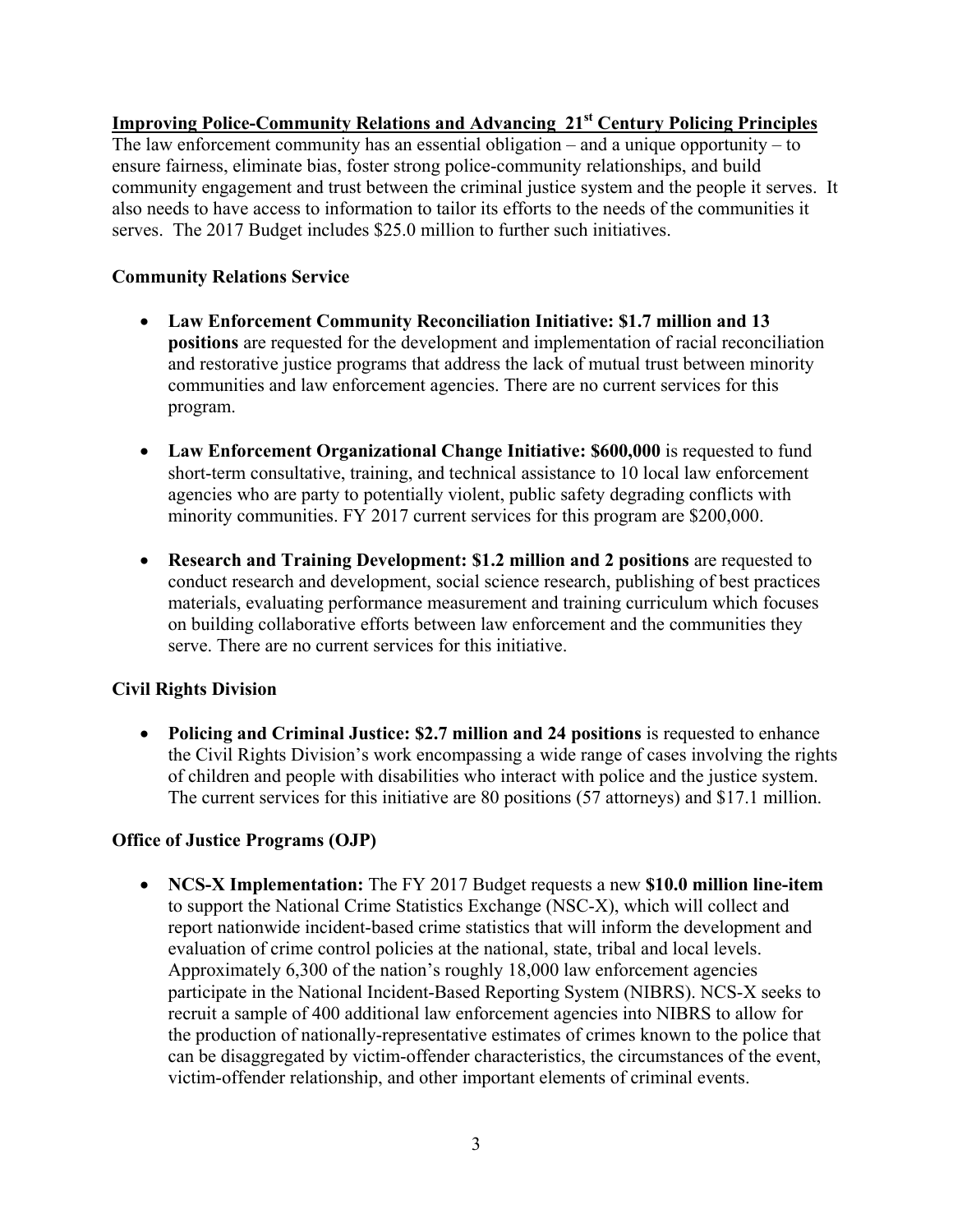## **Improving Police-Community Relations and Advancing 21st Century Policing Principles**

The law enforcement community has an essential obligation – and a unique opportunity – to ensure fairness, eliminate bias, foster strong police-community relationships, and build community engagement and trust between the criminal justice system and the people it serves. It also needs to have access to information to tailor its efforts to the needs of the communities it serves. The 2017 Budget includes \$25.0 million to further such initiatives.

### **Community Relations Service**

- **Law Enforcement Community Reconciliation Initiative: \$1.7 million and 13 positions** are requested for the development and implementation of racial reconciliation and restorative justice programs that address the lack of mutual trust between minority communities and law enforcement agencies. There are no current services for this program.
- **Law Enforcement Organizational Change Initiative: \$600,000** is requested to fund short-term consultative, training, and technical assistance to 10 local law enforcement agencies who are party to potentially violent, public safety degrading conflicts with minority communities. FY 2017 current services for this program are \$200,000.
- **Research and Training Development: \$1.2 million and 2 positions** are requested to conduct research and development, social science research, publishing of best practices materials, evaluating performance measurement and training curriculum which focuses on building collaborative efforts between law enforcement and the communities they serve. There are no current services for this initiative.

## **Civil Rights Division**

• **Policing and Criminal Justice: \$2.7 million and 24 positions** is requested to enhance the Civil Rights Division's work encompassing a wide range of cases involving the rights of children and people with disabilities who interact with police and the justice system. The current services for this initiative are 80 positions (57 attorneys) and \$17.1 million.

## **Office of Justice Programs (OJP)**

• **NCS-X Implementation:** The FY 2017 Budget requests a new **\$10.0 million line-item**  to support the National Crime Statistics Exchange (NSC-X), which will collect and report nationwide incident-based crime statistics that will inform the development and evaluation of crime control policies at the national, state, tribal and local levels. Approximately 6,300 of the nation's roughly 18,000 law enforcement agencies participate in the National Incident-Based Reporting System (NIBRS). NCS-X seeks to recruit a sample of 400 additional law enforcement agencies into NIBRS to allow for the production of nationally-representative estimates of crimes known to the police that can be disaggregated by victim-offender characteristics, the circumstances of the event, victim-offender relationship, and other important elements of criminal events.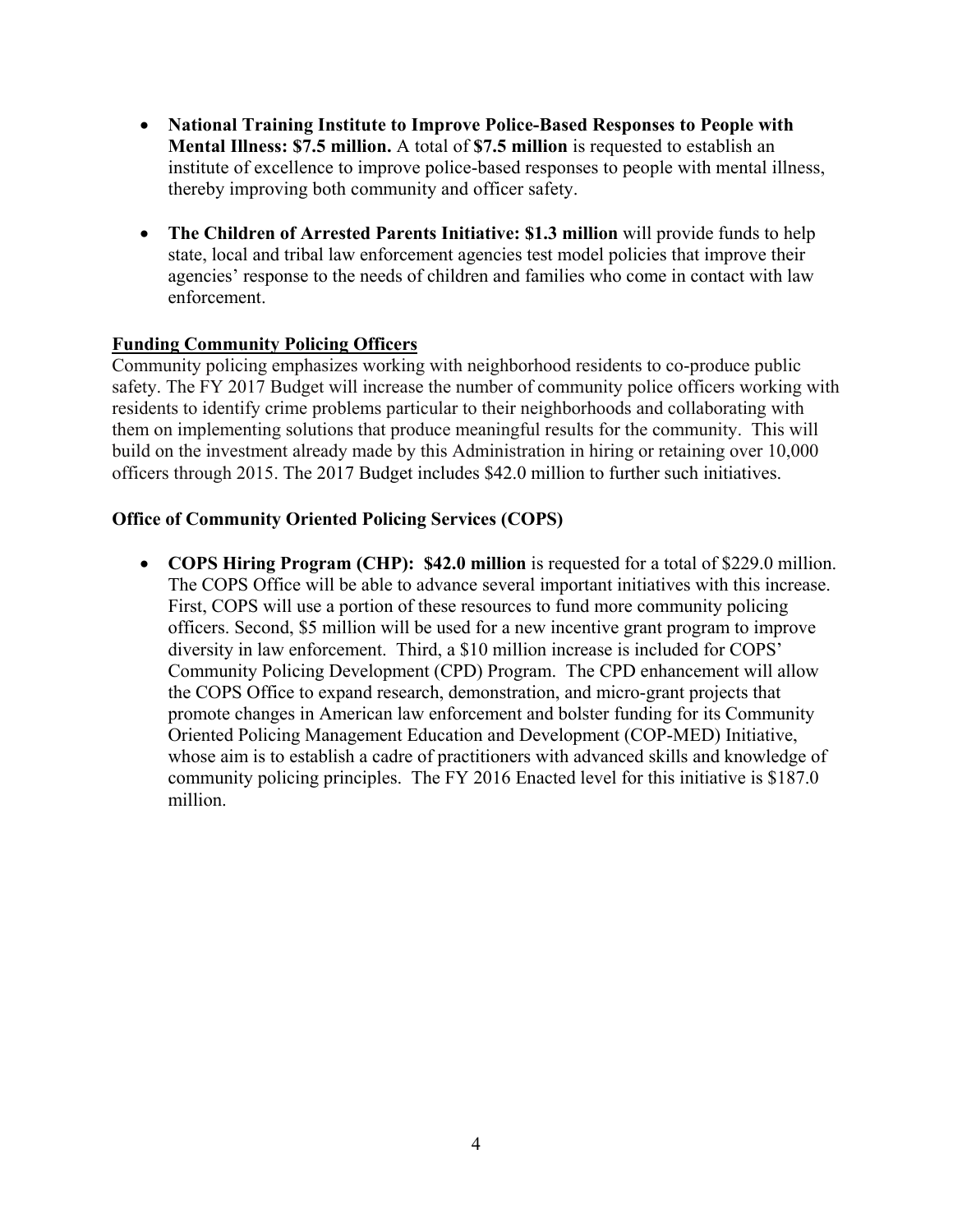- **National Training Institute to Improve Police-Based Responses to People with Mental Illness: \$7.5 million.** A total of **\$7.5 million** is requested to establish an institute of excellence to improve police-based responses to people with mental illness, thereby improving both community and officer safety.
- **The Children of Arrested Parents Initiative: \$1.3 million** will provide funds to help state, local and tribal law enforcement agencies test model policies that improve their agencies' response to the needs of children and families who come in contact with law enforcement.

### **Funding Community Policing Officers**

Community policing emphasizes working with neighborhood residents to co-produce public safety. The FY 2017 Budget will increase the number of community police officers working with residents to identify crime problems particular to their neighborhoods and collaborating with them on implementing solutions that produce meaningful results for the community. This will build on the investment already made by this Administration in hiring or retaining over 10,000 officers through 2015. The 2017 Budget includes \$42.0 million to further such initiatives.

### **Office of Community Oriented Policing Services (COPS)**

• **COPS Hiring Program (CHP): \$42.0 million** is requested for a total of \$229.0 million. The COPS Office will be able to advance several important initiatives with this increase. First, COPS will use a portion of these resources to fund more community policing officers. Second, \$5 million will be used for a new incentive grant program to improve diversity in law enforcement. Third, a \$10 million increase is included for COPS' Community Policing Development (CPD) Program. The CPD enhancement will allow the COPS Office to expand research, demonstration, and micro-grant projects that promote changes in American law enforcement and bolster funding for its Community Oriented Policing Management Education and Development (COP-MED) Initiative, whose aim is to establish a cadre of practitioners with advanced skills and knowledge of community policing principles. The FY 2016 Enacted level for this initiative is \$187.0 million.